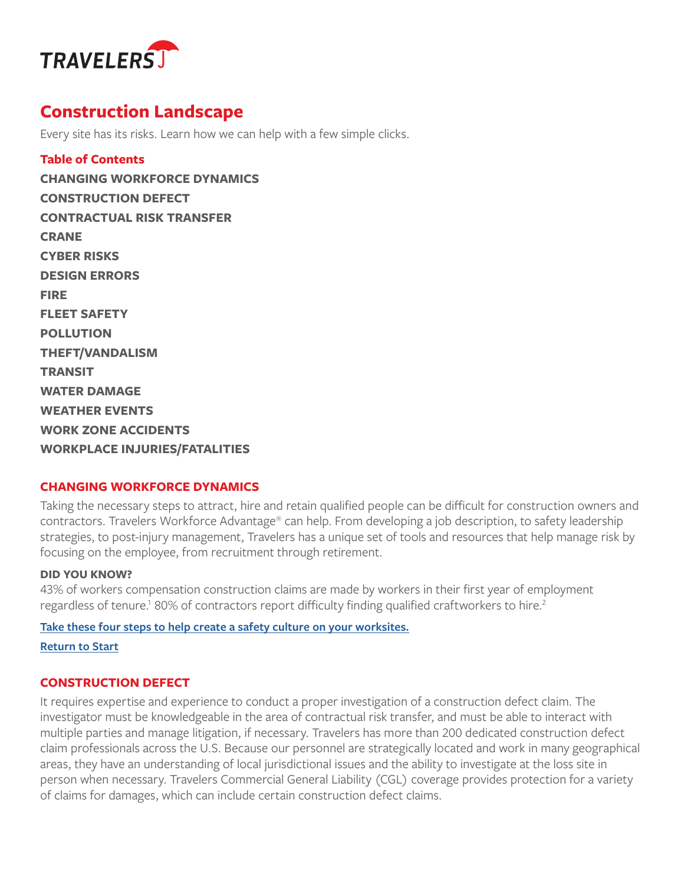<span id="page-0-1"></span>

# **Construction Landscape**

Every site has its risks. Learn how we can help with a few simple clicks.

<span id="page-0-0"></span>**Table of Contents CHANGING WORKFORCE DYNAMICS CONSTRUCTION DEFECT [CONTRACTUAL RISK TRANSFER](#page-1-0) [CRANE](#page-1-0) [CYBER RISKS](#page-1-0) [DESIGN ERRORS](#page-1-0) [FIRE](#page-1-0) [FLEET SAFETY](#page-2-0) [POLLUTION](#page-2-0) [THEFT/VANDALISM](#page-2-0) [TRANSIT](#page-2-0) [WATER DAMAGE](#page-2-0) [WEATHER EVENTS](#page-3-0) [WORK ZONE ACCIDENTS](#page-3-0) [WORKPLACE INJURIES/FATALITIES](#page-3-0)**

# **CHANGING WORKFORCE DYNAMICS**

Taking the necessary steps to attract, hire and retain qualified people can be difficult for construction owners and contractors. Travelers Workforce Advantage® can help. From developing a job description, to safety leadership strategies, to post-injury management, Travelers has a unique set of tools and resources that help manage risk by focusing on the employee, from recruitment through retirement.

#### **DID YOU KNOW?**

43% of workers compensation construction claims are made by workers in their first year of employment regardless of tenure.<sup>1</sup> 80% of contractors report difficulty finding qualified craftworkers to hire.<sup>2</sup>

#### **[Take these four steps to help create a safety culture on your worksites.](https://www.travelers.com/resources/workplace-safety/creating-a-safety-culture-in-the-workplace)**

**[Return to Start](#page-0-0)**

# **CONSTRUCTION DEFECT**

It requires expertise and experience to conduct a proper investigation of a construction defect claim. The investigator must be knowledgeable in the area of contractual risk transfer, and must be able to interact with multiple parties and manage litigation, if necessary. Travelers has more than 200 dedicated construction defect claim professionals across the U.S. Because our personnel are strategically located and work in many geographical areas, they have an understanding of local jurisdictional issues and the ability to investigate at the loss site in person when necessary. Travelers Commercial General Liability (CGL) coverage provides protection for a variety of claims for damages, which can include certain construction defect claims.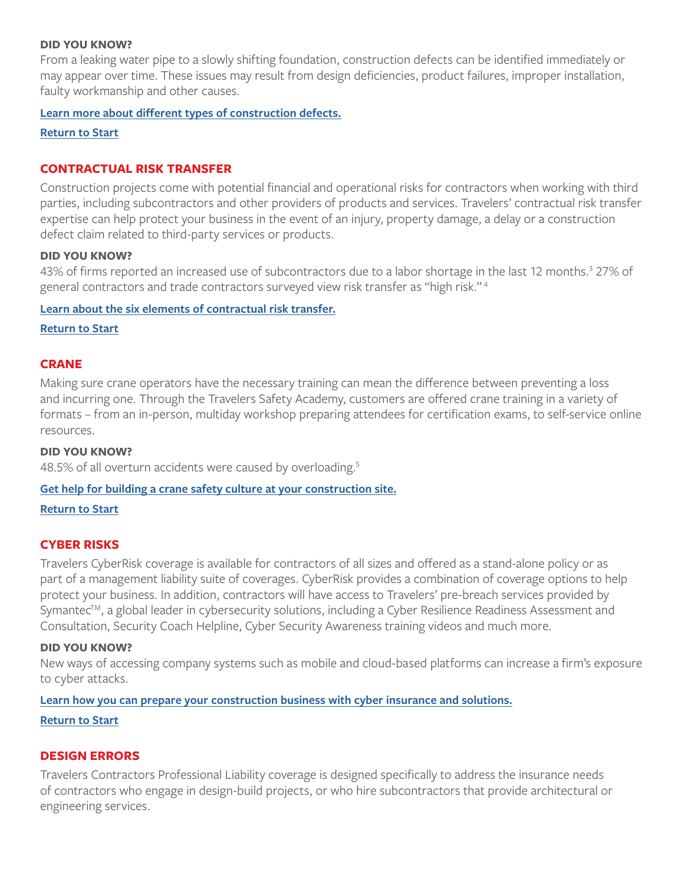# <span id="page-1-0"></span>**DID YOU KNOW?**

From a leaking water pipe to a slowly shifting foundation, construction defects can be identified immediately or may appear over time. These issues may result from design deficiencies, product failures, improper installation, faulty workmanship and other causes.

#### **[Learn more about different types of construction defects.](https://www.travelers.com/resources/business-industries/construction/types-of-construction-defects)**

**[Return to Start](#page-0-0)**

# **CONTRACTUAL RISK TRANSFER**

Construction projects come with potential financial and operational risks for contractors when working with third parties, including subcontractors and other providers of products and services. Travelers' contractual risk transfer expertise can help protect your business in the event of an injury, property damage, a delay or a construction defect claim related to third-party services or products.

# **DID YOU KNOW?**

43% of firms reported an increased use of subcontractors due to a labor shortage in the last 12 months.<sup>3</sup> 27% of general contractors and trade contractors surveyed view risk transfer as "high risk." [4](#page-5-0)

#### **[Learn about the six elements of contractual risk transfer.](https://www.travelers.com/resources/business-industries/construction/contractual-risk-transfer-program)**

#### **[Return to Start](#page-0-0)**

### **CRANE**

Making sure crane operators have the necessary training can mean the difference between preventing a loss and incurring one. Through the Travelers Safety Academy, customers are offered crane training in a variety of formats – from an in-person, multiday workshop preparing attendees for certification exams, to self-service online resources.

#### **DID YOU KNOW?**

48.[5](#page-5-0)% of all overturn accidents were caused by overloading.<sup>5</sup>

#### **[Get help for building a crane safety culture at your construction site.](https://www.travelers.com/Business-insurance/construction/crane-training)**

**[Return to Start](#page-0-0)**

#### **CYBER RISKS**

Travelers CyberRisk coverage is available for contractors of all sizes and offered as a stand-alone policy or as part of a management liability suite of coverages. CyberRisk provides a combination of coverage options to help protect your business. In addition, contractors will have access to Travelers' pre-breach services provided by Symantec<sup>TM</sup>, a global leader in cybersecurity solutions, including a Cyber Resilience Readiness Assessment and Consultation, Security Coach Helpline, Cyber Security Awareness training videos and much more.

### **DID YOU KNOW?**

New ways of accessing company systems such as mobile and cloud-based platforms can increase a firm's exposure to cyber attacks.

#### **[Learn how you can prepare your construction business with cyber insurance and solutions.](https://www.travelers.com/cyber-insurance)**

#### **[Return to Start](#page-0-0)**

#### **DESIGN ERRORS**

Travelers Contractors Professional Liability coverage is designed specifically to address the insurance needs of contractors who engage in design-build projects, or who hire subcontractors that provide architectural or engineering services.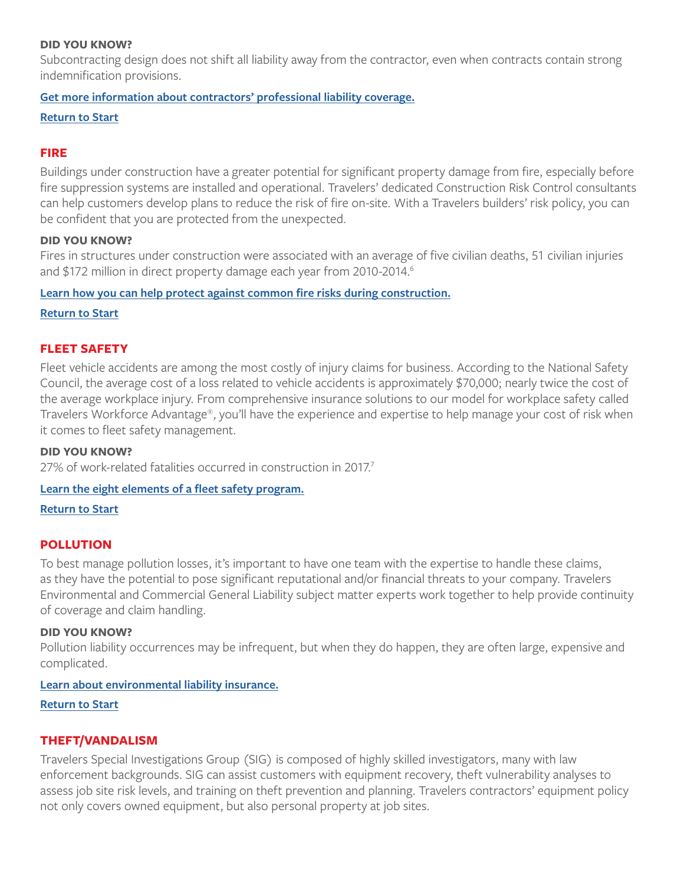### <span id="page-2-0"></span>**DID YOU KNOW?**

Subcontracting design does not shift all liability away from the contractor, even when contracts contain strong indemnification provisions.

# **[Get more information about contractors' professional liability coverage.](https://www.travelers.com/business-insurance/environmental-liability)**

# **[Return to Start](#page-0-0)**

# **FIRE**

Buildings under construction have a greater potential for significant property damage from fire, especially before fire suppression systems are installed and operational. Travelers' dedicated Construction Risk Control consultants can help customers develop plans to reduce the risk of fire on-site. With a Travelers builders' risk policy, you can be confident that you are protected from the unexpected.

#### **DID YOU KNOW?**

Fires in structures under construction were associated with an average of five civilian deaths, 51 civilian injuries and \$172 million in direct property damage each year from 2010-2014.<sup>6</sup>

# **[Learn how you can help protect against common fire risks during construction.](https://www.travelers.com/resources/business-industries/construction/protecting-against-common-fire-risks-during-construction)**

**[Return to Start](#page-0-0)**

# **FLEET SAFETY**

Fleet vehicle accidents are among the most costly of injury claims for business. According to the National Safety Council, the average cost of a loss related to vehicle accidents is approximately \$70,000; nearly twice the cost of the average workplace injury. From comprehensive insurance solutions to our model for workplace safety called Travelers Workforce Advantage®, you'll have the experience and expertise to help manage your cost of risk when it comes to fleet safety management.

#### **DID YOU KNOW?**

27% of work-related fatalities occurred in construction in 2017.<sup>7</sup>

# **[Learn the eight elements of a fleet safety program.](https://www.travelers.com/resources/driver-fleet-safety/8-elements-of-a-fleet-safety-program)**

**[Return to Start](#page-0-0)**

# **POLLUTION**

To best manage pollution losses, it's important to have one team with the expertise to handle these claims, as they have the potential to pose significant reputational and/or financial threats to your company. Travelers Environmental and Commercial General Liability subject matter experts work together to help provide continuity of coverage and claim handling.

#### **DID YOU KNOW?**

Pollution liability occurrences may be infrequent, but when they do happen, they are often large, expensive and complicated.

# **[Learn about environmental liability insurance.](https://www.travelers.com/business-insurance/environmental-liability)**

# **[Return to Start](#page-0-0)**

# **THEFT/VANDALISM**

Travelers Special Investigations Group (SIG) is composed of highly skilled investigators, many with law enforcement backgrounds. SIG can assist customers with equipment recovery, theft vulnerability analyses to assess job site risk levels, and training on theft prevention and planning. Travelers contractors' equipment policy not only covers owned equipment, but also personal property at job sites.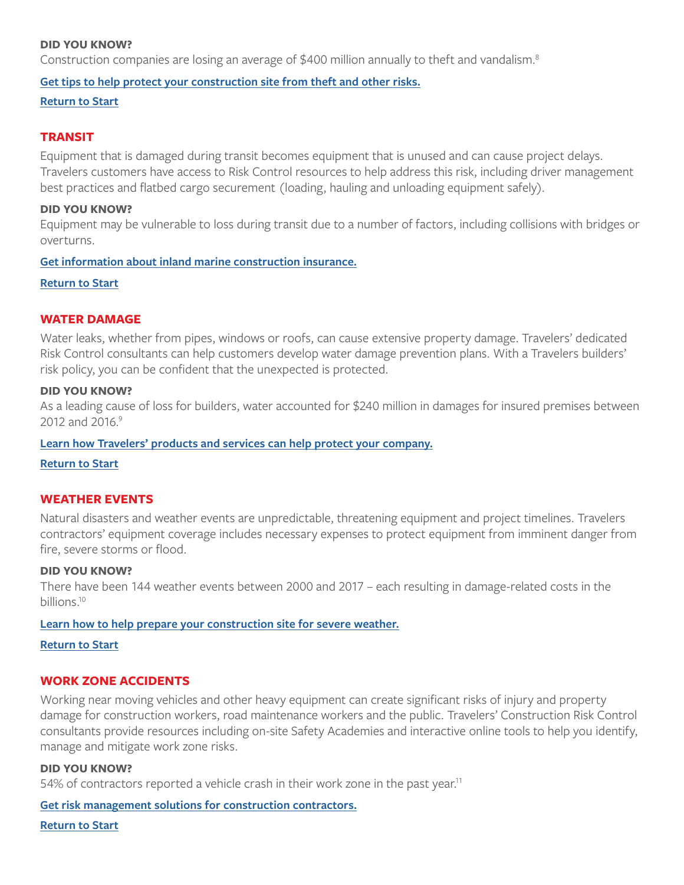#### <span id="page-3-0"></span>**DID YOU KNOW?**

Construction companies are losing an average of \$400 million annually to theft and vandalism.<sup>8</sup>

#### **[Get tips to help protect your construction site from theft and other risks.](https://www.travelers.com/resources/business-industries/construction/protecting-your-construction-site-from-fire-water-and-theft)**

**[Return to Start](#page-0-0)**

#### **TRANSIT**

Equipment that is damaged during transit becomes equipment that is unused and can cause project delays. Travelers customers have access to Risk Control resources to help address this risk, including driver management best practices and flatbed cargo securement (loading, hauling and unloading equipment safely).

#### **DID YOU KNOW?**

Equipment may be vulnerable to loss during transit due to a number of factors, including collisions with bridges or overturns.

#### **[Get information about inland marine construction insurance.](https://www.travelers.com/business-insurance/inland-marine/construction)**

#### **[Return to Start](#page-0-0)**

# **WATER DAMAGE**

Water leaks, whether from pipes, windows or roofs, can cause extensive property damage. Travelers' dedicated Risk Control consultants can help customers develop water damage prevention plans. With a Travelers builders' risk policy, you can be confident that the unexpected is protected.

#### **DID YOU KNOW?**

As a leading cause of loss for builders, water accounted for \$240 million in damages for insured premises between 2012 and 2016.<sup>9</sup>

#### **[Learn how Travelers' products and services can help protect your company.](https://www.travelers.com/business-insurance/inland-marine)**

#### **[Return to Start](#page-0-0)**

#### **WEATHER EVENTS**

Natural disasters and weather events are unpredictable, threatening equipment and project timelines. Travelers contractors' equipment coverage includes necessary expenses to protect equipment from imminent danger from fire, severe storms or flood.

#### **DID YOU KNOW?**

There have been 144 weather events between 2000 and 2017 – each resulting in damage-related costs in the billions[.10](#page-5-0)

### **[Learn how to help prepare your construction site for severe weather.](https://www.travelers.com/resources/business-industries/construction/preparing-your-construction-site-for-severe-weather)**

#### **[Return to Start](#page-0-0)**

#### **WORK ZONE ACCIDENTS**

Working near moving vehicles and other heavy equipment can create significant risks of injury and property damage for construction workers, road maintenance workers and the public. Travelers' Construction Risk Control consultants provide resources including on-site Safety Academies and interactive online tools to help you identify, manage and mitigate work zone risks.

#### **DID YOU KNOW?**

54% of contractors reported a vehicle crash in their work zone in the past year.<sup>11</sup>

#### **[Get risk management solutions for construction contractors.](https://www.travelers.com/business-insurance/construction)**

**[Return to Start](#page-0-0)**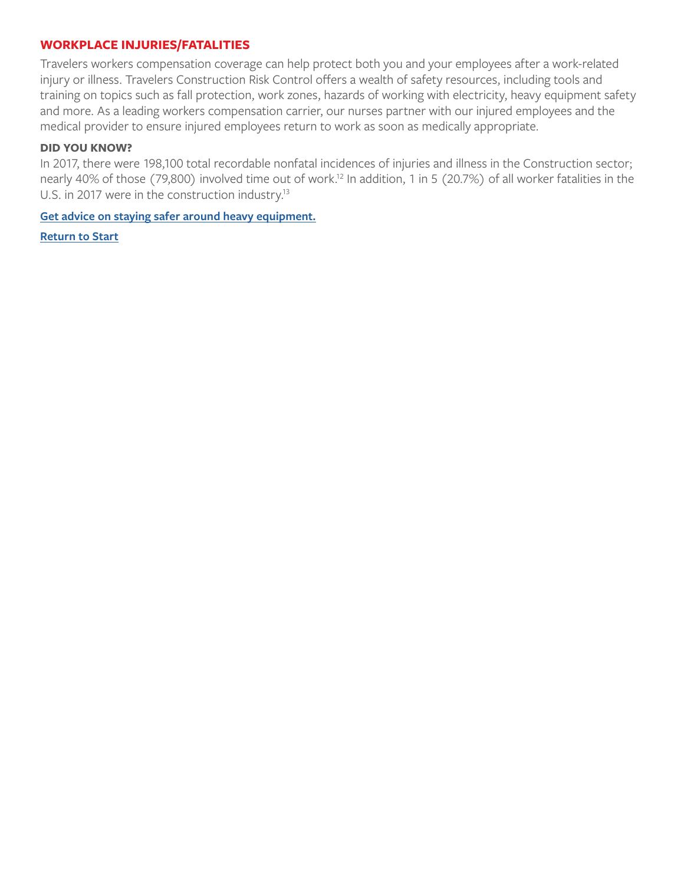# <span id="page-4-0"></span>**WORKPLACE INJURIES/FATALITIES**

Travelers workers compensation coverage can help protect both you and your employees after a work-related injury or illness. Travelers Construction Risk Control offers a wealth of safety resources, including tools and training on topics such as fall protection, work zones, hazards of working with electricity, heavy equipment safety and more. As a leading workers compensation carrier, our nurses partner with our injured employees and the medical provider to ensure injured employees return to work as soon as medically appropriate.

# **DID YOU KNOW?**

In 2017, there were 198,100 total recordable nonfatal incidences of injuries and illness in the Construction sector; nearly 40% of those (79,800) involved time out of work.<sup>12</sup> In addition, 1 in 5 (20.7%) of all worker fatalities in the U.S. in 2017 were in the construction industry.<sup>13</sup>

**[Get advice on staying safer around heavy equipment.](https://www.travelers.com/resources/business-industries/construction/staying-safe-around-heavy-equipment)**

**[Return to Start](#page-0-0)**